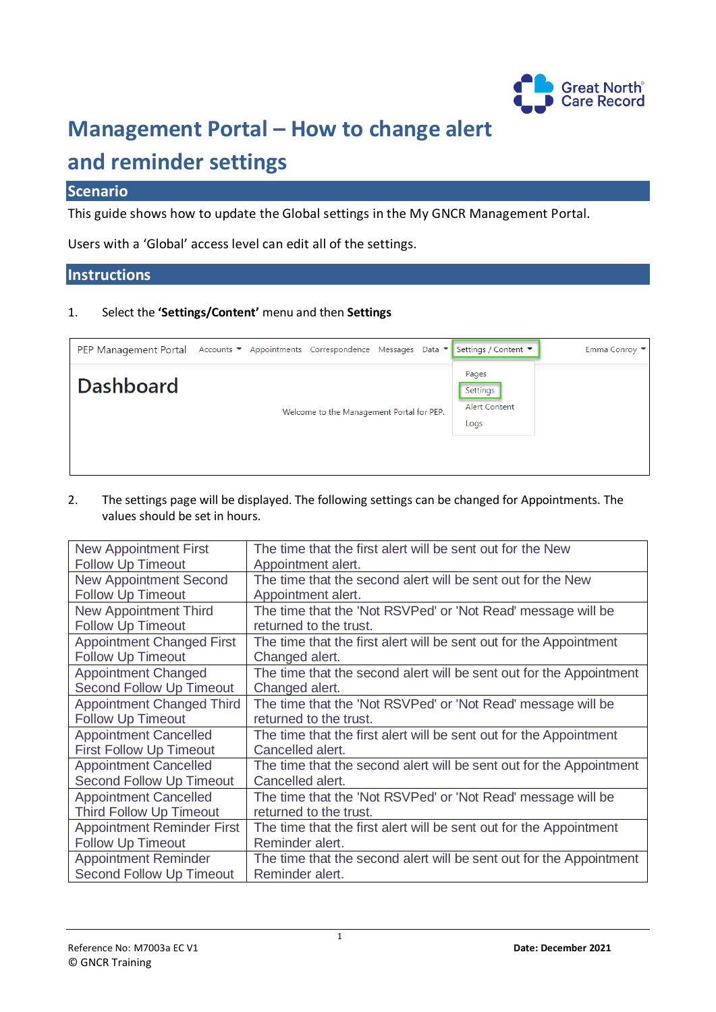

## **Management Portal – How to change alert**

## **and reminder settings**

## **Scenario**

This guide shows how to update the Global settings in the My GNCR Management Portal.

Users with a 'Global' access level can edit all of the settings.

## **Instructions**

1. Select the **'Settings/Content'** menu and then **Settings**

| <b>PEP Management Portal</b> |                                           | Accounts ▼ Appointments Correspondence Messages Data ▼ |  |                                                   | Settings / Content ▼ | Emma Conroy ▼ |
|------------------------------|-------------------------------------------|--------------------------------------------------------|--|---------------------------------------------------|----------------------|---------------|
| <b>Dashboard</b>             | Welcome to the Management Portal for PEP. |                                                        |  | Pages<br>Settings<br><b>Alert Content</b><br>Logs |                      |               |
|                              |                                           |                                                        |  |                                                   |                      |               |

2. The settings page will be displayed. The following settings can be changed for Appointments. The values should be set in hours.

| <b>New Appointment First</b>      | The time that the first alert will be sent out for the New          |  |  |
|-----------------------------------|---------------------------------------------------------------------|--|--|
| <b>Follow Up Timeout</b>          | Appointment alert.                                                  |  |  |
| <b>New Appointment Second</b>     | The time that the second alert will be sent out for the New         |  |  |
| <b>Follow Up Timeout</b>          | Appointment alert.                                                  |  |  |
| <b>New Appointment Third</b>      | The time that the 'Not RSVPed' or 'Not Read' message will be        |  |  |
| <b>Follow Up Timeout</b>          | returned to the trust.                                              |  |  |
| <b>Appointment Changed First</b>  | The time that the first alert will be sent out for the Appointment  |  |  |
| <b>Follow Up Timeout</b>          | Changed alert.                                                      |  |  |
| <b>Appointment Changed</b>        | The time that the second alert will be sent out for the Appointment |  |  |
| <b>Second Follow Up Timeout</b>   | Changed alert.                                                      |  |  |
| <b>Appointment Changed Third</b>  | The time that the 'Not RSVPed' or 'Not Read' message will be        |  |  |
| <b>Follow Up Timeout</b>          | returned to the trust.                                              |  |  |
| <b>Appointment Cancelled</b>      | The time that the first alert will be sent out for the Appointment  |  |  |
| <b>First Follow Up Timeout</b>    | Cancelled alert.                                                    |  |  |
| <b>Appointment Cancelled</b>      | The time that the second alert will be sent out for the Appointment |  |  |
| Second Follow Up Timeout          | Cancelled alert.                                                    |  |  |
| <b>Appointment Cancelled</b>      | The time that the 'Not RSVPed' or 'Not Read' message will be        |  |  |
| <b>Third Follow Up Timeout</b>    | returned to the trust.                                              |  |  |
| <b>Appointment Reminder First</b> | The time that the first alert will be sent out for the Appointment  |  |  |
| Follow Up Timeout                 | Reminder alert.                                                     |  |  |
| <b>Appointment Reminder</b>       | The time that the second alert will be sent out for the Appointment |  |  |
| Second Follow Up Timeout          | Reminder alert.                                                     |  |  |